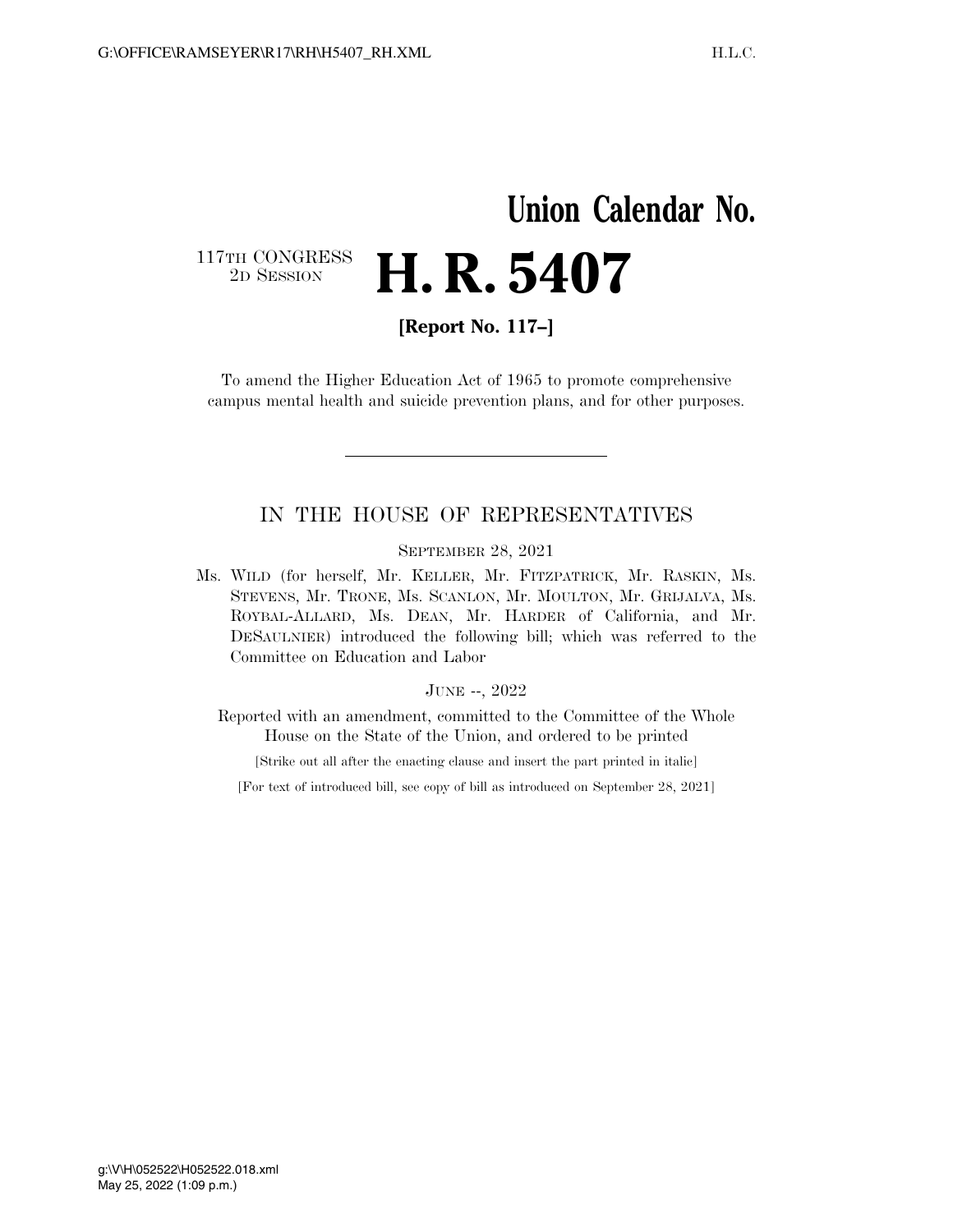## **Union Calendar No.**  117TH CONGRESS<br>2D SESSION 2D SESSION **H. R. 5407**

**[Report No. 117–]** 

To amend the Higher Education Act of 1965 to promote comprehensive campus mental health and suicide prevention plans, and for other purposes.

## IN THE HOUSE OF REPRESENTATIVES

SEPTEMBER 28, 2021

Ms. WILD (for herself, Mr. KELLER, Mr. FITZPATRICK, Mr. RASKIN, Ms. STEVENS, Mr. TRONE, Ms. SCANLON, Mr. MOULTON, Mr. GRIJALVA, Ms. ROYBAL-ALLARD, Ms. DEAN, Mr. HARDER of California, and Mr. DESAULNIER) introduced the following bill; which was referred to the Committee on Education and Labor

## JUNE --, 2022

Reported with an amendment, committed to the Committee of the Whole House on the State of the Union, and ordered to be printed

[Strike out all after the enacting clause and insert the part printed in italic]

[For text of introduced bill, see copy of bill as introduced on September 28, 2021]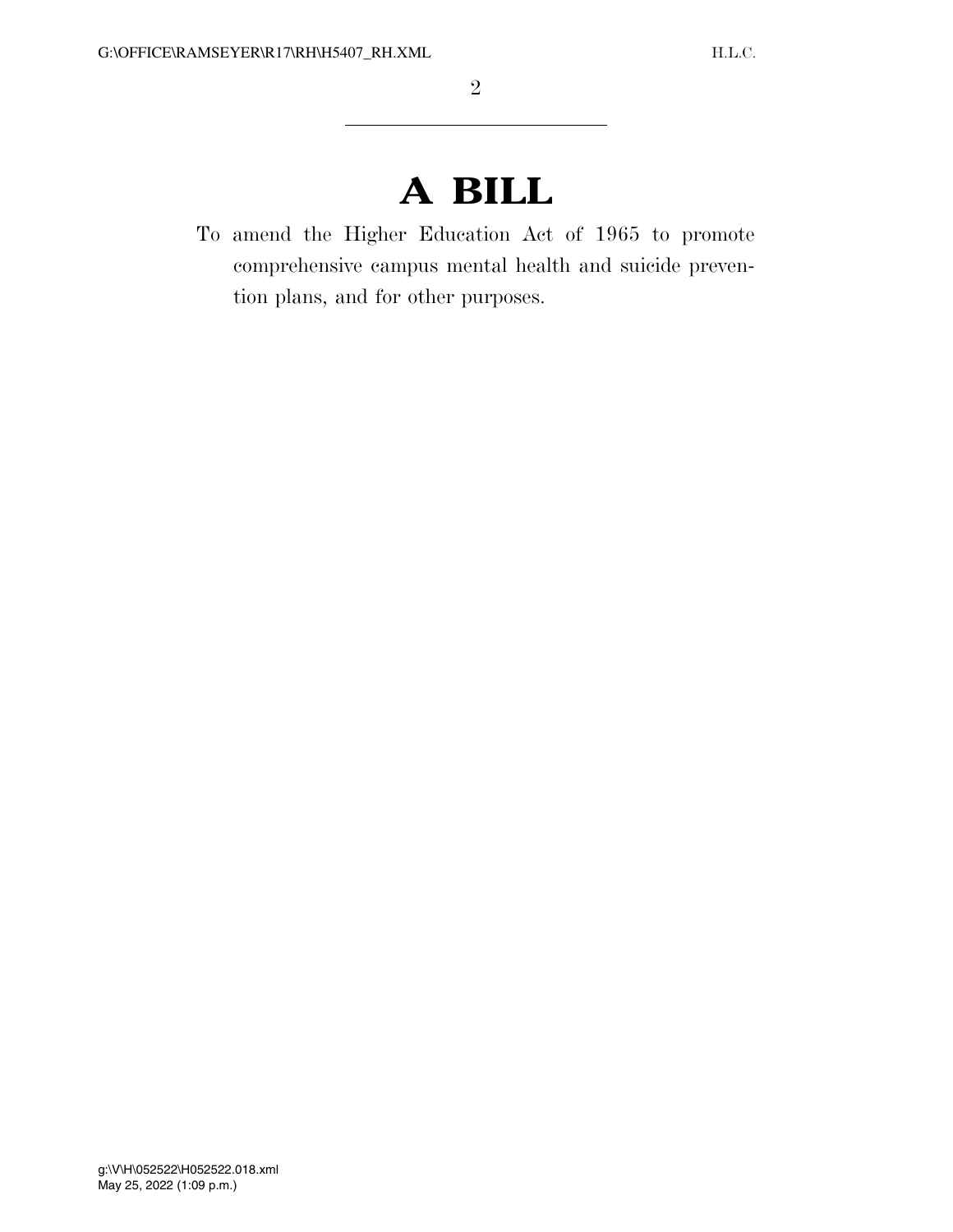## **A BILL**

To amend the Higher Education Act of 1965 to promote comprehensive campus mental health and suicide prevention plans, and for other purposes.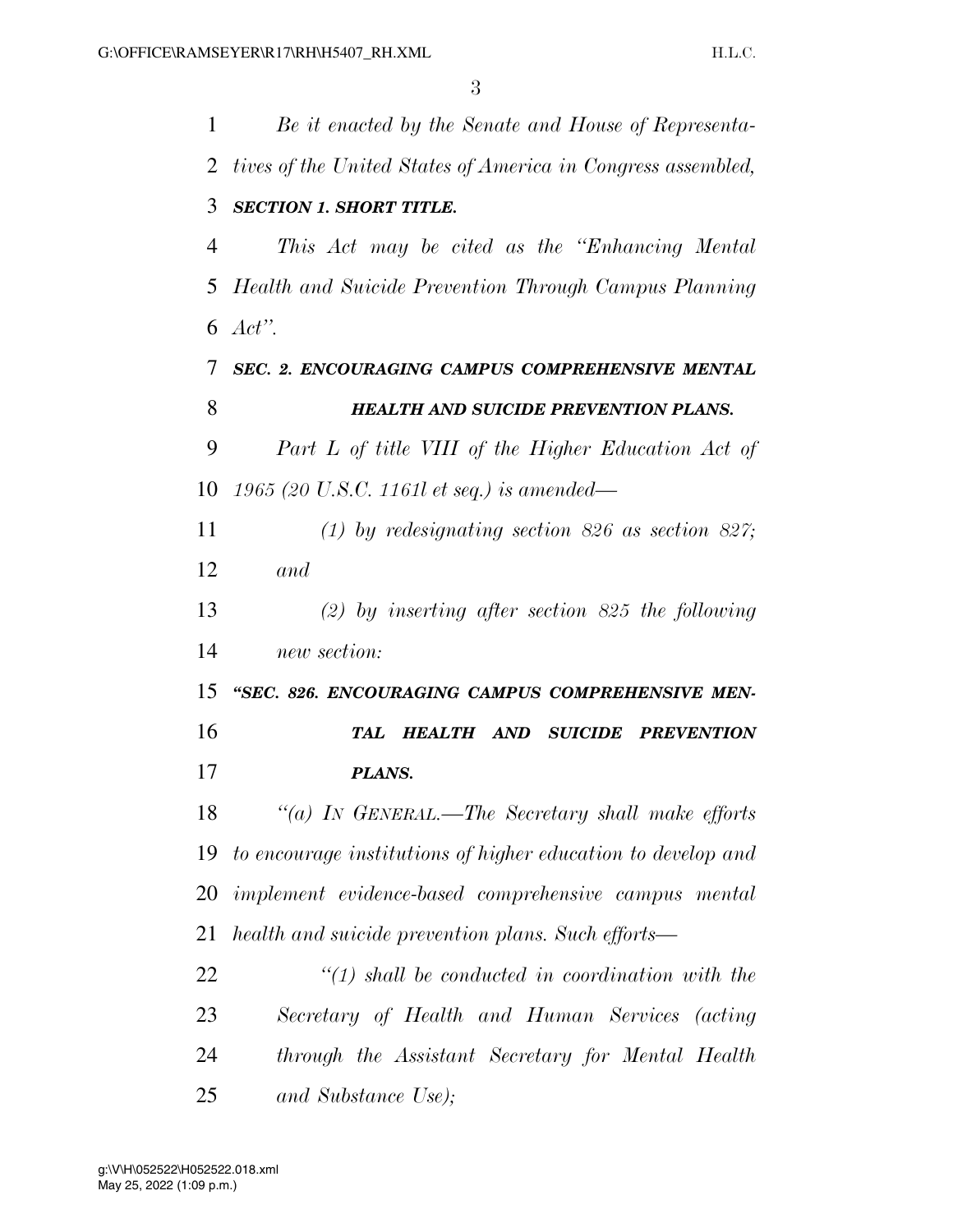| $\mathbf 1$ | Be it enacted by the Senate and House of Representa-         |
|-------------|--------------------------------------------------------------|
| 2           | tives of the United States of America in Congress assembled, |
| 3           | <b>SECTION 1. SHORT TITLE.</b>                               |
| 4           | This Act may be cited as the "Enhancing Mental"              |
| 5           | Health and Suicide Prevention Through Campus Planning        |
| 6           | Act".                                                        |
| 7           | SEC. 2. ENCOURAGING CAMPUS COMPREHENSIVE MENTAL              |
| 8           | <b>HEALTH AND SUICIDE PREVENTION PLANS.</b>                  |
| 9           | Part L of title VIII of the Higher Education Act of          |
| 10          | 1965 (20 U.S.C. 1161l et seq.) is amended—                   |
| 11          | (1) by redesignating section 826 as section 827;             |
| 12          | and                                                          |
| 13          | (2) by inserting after section 825 the following             |
| 14          | new section:                                                 |
| 15          | "SEC. 826. ENCOURAGING CAMPUS COMPREHENSIVE MEN-             |
| 16          | <b>HEALTH AND SUICIDE PREVENTION</b><br>TAL                  |
| 17          | PLANS.                                                       |
| 18          | "(a) IN GENERAL.—The Secretary shall make efforts            |
| 19          | to encourage institutions of higher education to develop and |
| 20          | implement evidence-based comprehensive campus mental         |
| 21          | health and suicide prevention plans. Such efforts—           |
| 22          | $\lq(1)$ shall be conducted in coordination with the         |
| 23          | Secretary of Health and Human Services (acting               |
| 24          | through the Assistant Secretary for Mental Health            |
| 25          | and Substance Use);                                          |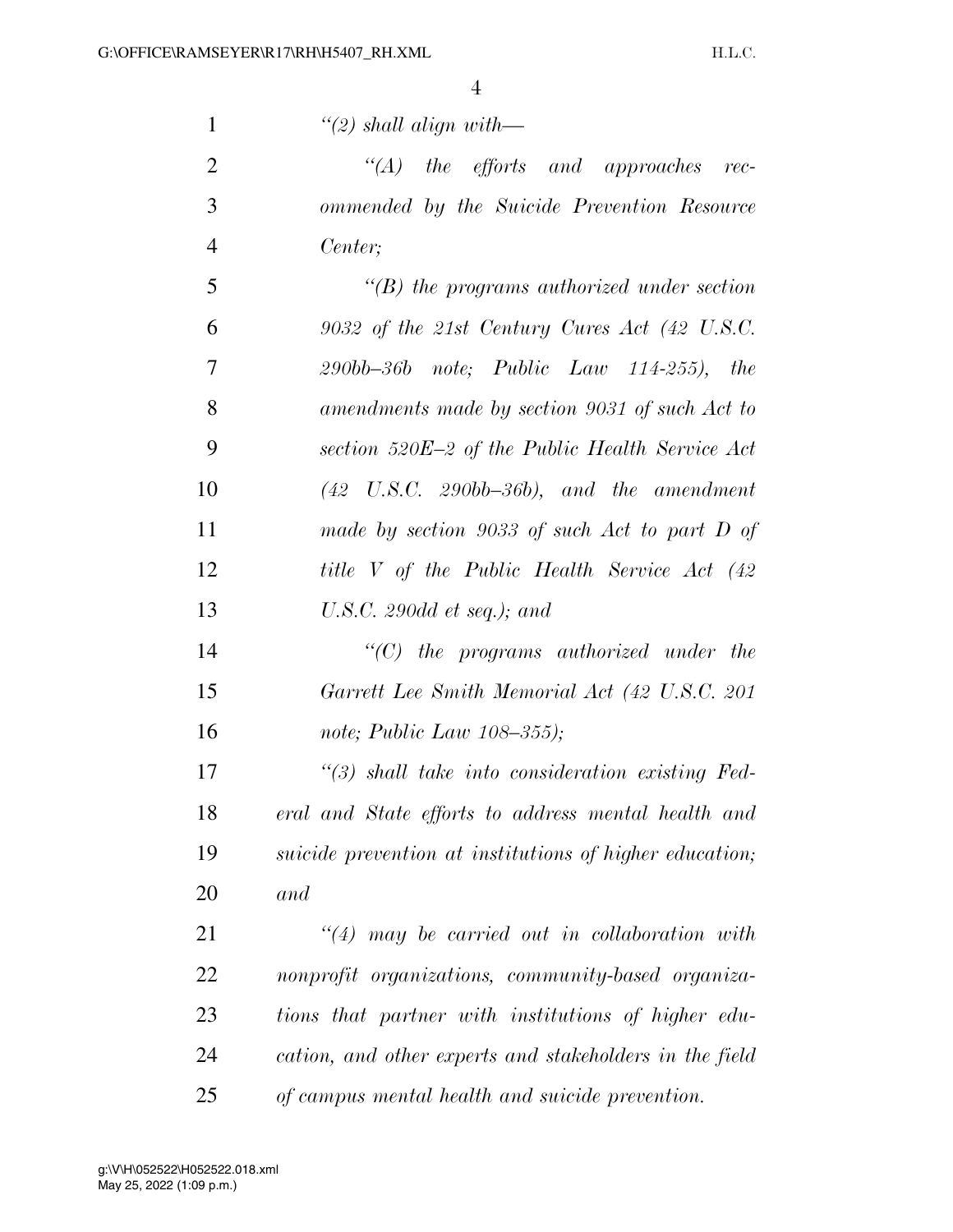*''(2) shall align with—* 

 *''(A) the efforts and approaches rec- ommended by the Suicide Prevention Resource Center;* 

 *''(B) the programs authorized under section 9032 of the 21st Century Cures Act (42 U.S.C. 290bb–36b note; Public Law 114-255), the amendments made by section 9031 of such Act to section 520E–2 of the Public Health Service Act (42 U.S.C. 290bb–36b), and the amendment made by section 9033 of such Act to part D of title V of the Public Health Service Act (42 U.S.C. 290dd et seq.); and* 

 *''(C) the programs authorized under the Garrett Lee Smith Memorial Act (42 U.S.C. 201 note; Public Law 108–355);* 

 *''(3) shall take into consideration existing Fed- eral and State efforts to address mental health and suicide prevention at institutions of higher education; and* 

 *''(4) may be carried out in collaboration with nonprofit organizations, community-based organiza- tions that partner with institutions of higher edu- cation, and other experts and stakeholders in the field of campus mental health and suicide prevention.*